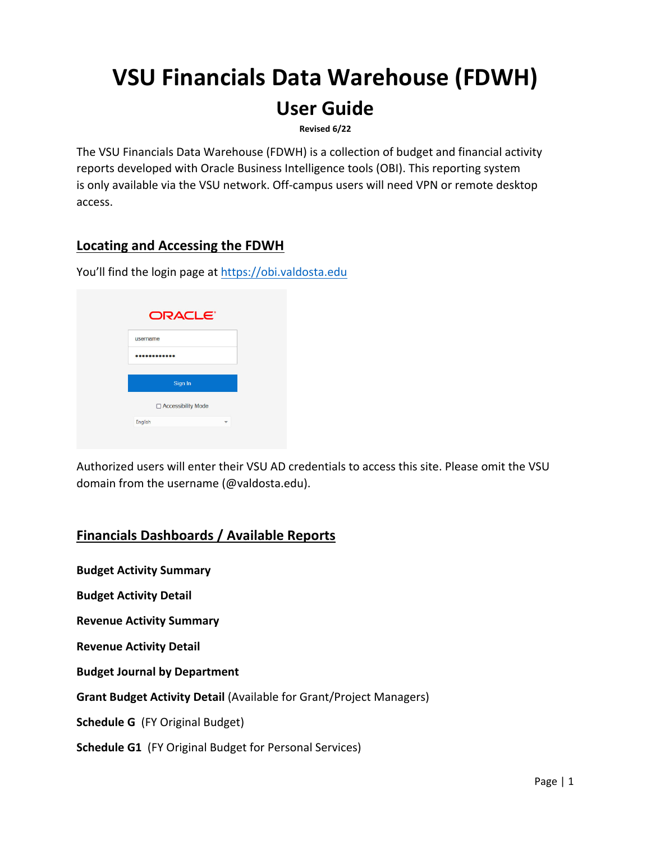# **VSU Financials Data Warehouse (FDWH)**

# **User Guide**

**Revised 6/22**

The VSU Financials Data Warehouse (FDWH) is a collection of budget and financial activity reports developed with Oracle Business Intelligence tools (OBI). This reporting system is only available via the VSU network. Off-campus users will need VPN or remote desktop access.

# **Locating and Accessing the FDWH**

You'll find the login page at https://obi.valdosta.edu

|          | ORACLE <sup>®</sup>  |
|----------|----------------------|
| username |                      |
|          |                      |
|          |                      |
|          | Sign In              |
|          | □ Accessibility Mode |

Authorized users will enter their VSU AD credentials to access this site. Please omit the VSU domain from the username (@valdosta.edu).

# **Financials Dashboards / Available Reports**

**Budget Activity Summary**

**Budget Activity Detail**

**Revenue Activity Summary**

**Revenue Activity Detail**

**Budget Journal by Department**

**Grant Budget Activity Detail** (Available for Grant/Project Managers)

**Schedule G** (FY Original Budget)

**Schedule G1** (FY Original Budget for Personal Services)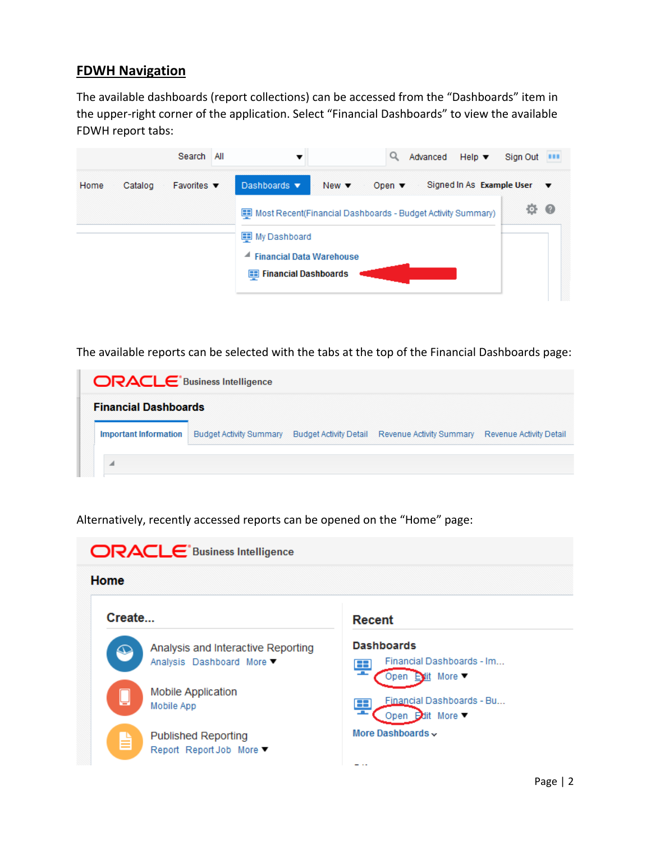#### **FDWH Navigation**

The available dashboards (report collections) can be accessed from the "Dashboards" item in the upper‐right corner of the application. Select "Financial Dashboards" to view the available FDWH report tabs:

|      |         | Search                         | All |                                                                             |                          | Q                         | Advanced | Help $\blacktriangledown$                      |                 |  |
|------|---------|--------------------------------|-----|-----------------------------------------------------------------------------|--------------------------|---------------------------|----------|------------------------------------------------|-----------------|--|
| Home | Catalog | Favorites $\blacktriangledown$ |     | Dashboards $\blacktriangledown$                                             | New $\blacktriangledown$ | Open $\blacktriangledown$ |          | Signed In As Example User $\blacktriangledown$ |                 |  |
|      |         |                                |     | Most Recent(Financial Dashboards - Budget Activity Summary)<br>My Dashboard |                          |                           |          |                                                | $\circ$ $\circ$ |  |
|      |         |                                |     | <b>Financial Data Warehouse</b><br>◢<br><b>Financial Dashboards</b><br>83   |                          |                           |          |                                                |                 |  |

The available reports can be selected with the tabs at the top of the Financial Dashboards page:

| <b>ORACLE</b> Business Intelligence |                                |  |                                                                         |  |  |  |  |  |  |
|-------------------------------------|--------------------------------|--|-------------------------------------------------------------------------|--|--|--|--|--|--|
| <b>Financial Dashboards</b>         |                                |  |                                                                         |  |  |  |  |  |  |
| <b>Important Information</b>        | <b>Budget Activity Summary</b> |  | Budget Activity Detail Revenue Activity Summary Revenue Activity Detail |  |  |  |  |  |  |
|                                     |                                |  |                                                                         |  |  |  |  |  |  |

| Home                                                                 |                                                                                       |
|----------------------------------------------------------------------|---------------------------------------------------------------------------------------|
| Create                                                               | Recent                                                                                |
| Analysis and Interactive Reporting<br>ፍ<br>Analysis Dashboard More ▼ | <b>Dashboards</b><br>Financial Dashboards - Im<br>œ<br><b>COL</b><br>Open Evit More ▼ |
| <b>Mobile Application</b><br>⊫<br>Mobile App                         | Financial Dashboards - Bu<br>Œ<br>Open <b>D</b> dit More ▼                            |
| <b>Published Reporting</b><br>自<br>Report ReportJob More ▼           | More Dashboards ~                                                                     |

Alternatively, recently accessed reports can be opened on the "Home" page: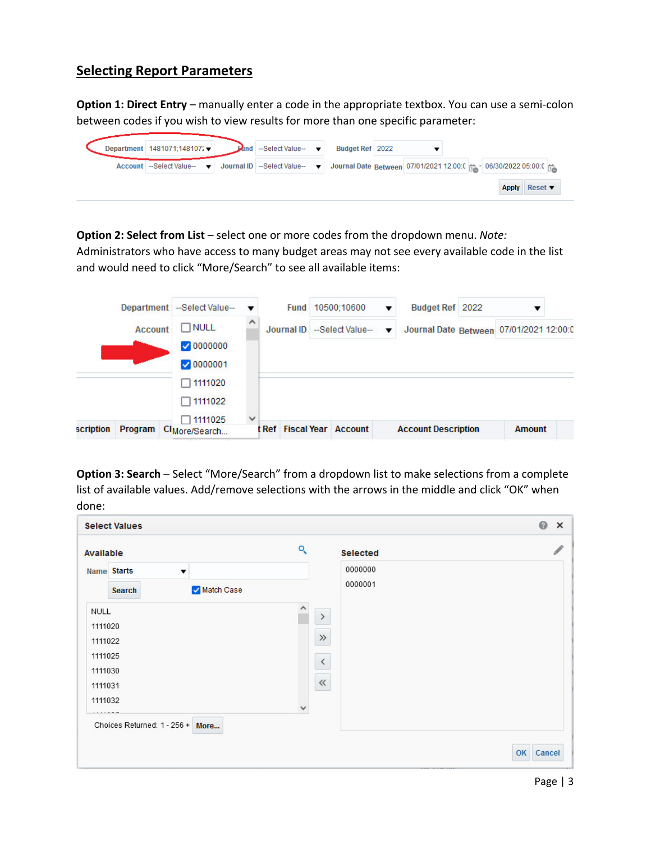#### **Selecting Report Parameters**

**Option 1: Direct Entry** – manually enter a code in the appropriate textbox. You can use a semi‐colon between codes if you wish to view results for more than one specific parameter:

| Department 1481071;148107′ <del>↓</del> | <b>Ednd</b> | --Select Value-- ▼                                                    | Budget Ref 2022                                                  |  |              |                            |  |
|-----------------------------------------|-------------|-----------------------------------------------------------------------|------------------------------------------------------------------|--|--------------|----------------------------|--|
| Account   --Select Value--              |             | $\blacktriangledown$ Journal ID --Select Value-- $\blacktriangledown$ | Journal Date Between 07/01/2021 12:00:0 # - 06/30/2022 05:00:0 # |  |              |                            |  |
|                                         |             |                                                                       |                                                                  |  | <b>Apply</b> | Reset $\blacktriangledown$ |  |

**Option 2: Select from List** – select one or more codes from the dropdown menu. *Note:* Administrators who have access to many budget areas may not see every available code in the list and would need to click "More/Search" to see all available items:



**Option 3: Search** – Select "More/Search" from a dropdown list to make selections from a complete list of available values. Add/remove selections with the arrows in the middle and click "OK" when done:

| <b>Select Values</b>                   |                      | 0<br>$\times$ |
|----------------------------------------|----------------------|---------------|
| Available                              | ্<br><b>Selected</b> |               |
| Name Starts<br>$\overline{\mathbf{v}}$ | 0000000              |               |
| Match Case<br>Search                   | 0000001              |               |
| NULL                                   | $\,$                 |               |
| 1111020                                |                      |               |
| 1111022                                | $\gg$                |               |
| 1111025                                | $\,$ $\,$            |               |
| 1111030                                |                      |               |
| 1111031                                | $\ll$                |               |
| 1111032                                | $\checkmark$         |               |
| Choices Returned: 1 - 256 + More       |                      |               |
|                                        |                      |               |
|                                        |                      | OK Cancel     |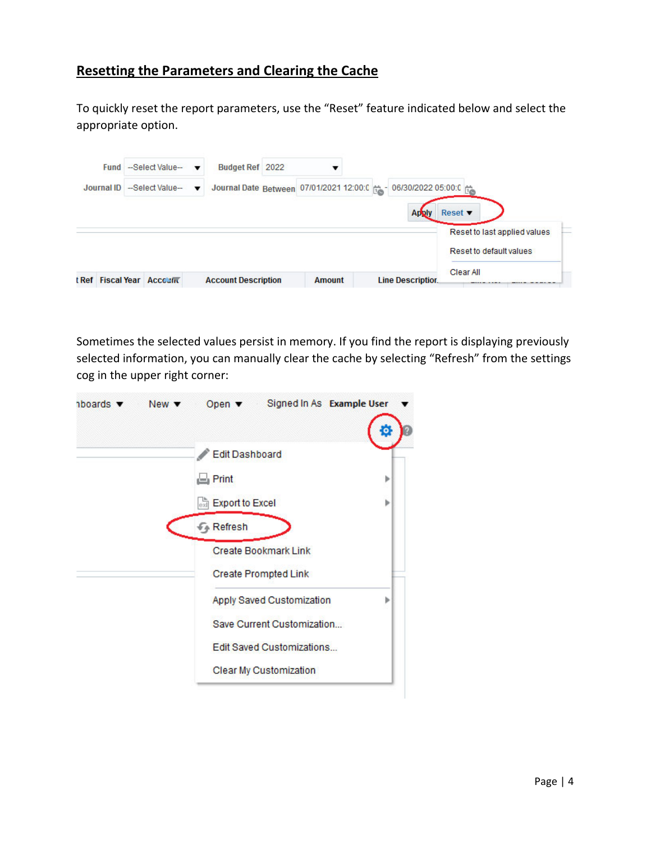# **Resetting the Parameters and Clearing the Cache**

To quickly reset the report parameters, use the "Reset" feature indicated below and select the appropriate option.

| Fund       | -Select Value- | $\overline{\mathbf{v}}$  | Budget Ref 2022                                                     |  |  |              |                            |                              |  |
|------------|----------------|--------------------------|---------------------------------------------------------------------|--|--|--------------|----------------------------|------------------------------|--|
| Journal ID | -Select Value- | $\overline{\phantom{a}}$ | Journal Date Between 07/01/2021 12:00:0 (1) -06/30/2022 05:00:0 (1) |  |  |              |                            |                              |  |
|            |                |                          |                                                                     |  |  | <b>Apply</b> | Reset $\blacktriangledown$ |                              |  |
|            |                |                          |                                                                     |  |  |              |                            | Reset to last applied values |  |
|            |                |                          |                                                                     |  |  |              |                            | Reset to default values      |  |
|            |                |                          |                                                                     |  |  |              | Clear All                  |                              |  |

Sometimes the selected values persist in memory. If you find the report is displaying previously selected information, you can manually clear the cache by selecting "Refresh" from the settings cog in the upper right corner:

| $n$ boards $\blacktriangledown$ | $New \blacktriangledown$ | Open v Signed In As Example User                           |   |
|---------------------------------|--------------------------|------------------------------------------------------------|---|
|                                 |                          | <b>Edit Dashboard</b>                                      |   |
|                                 |                          | $\Box$ Print                                               | Þ |
|                                 |                          | <b>Export to Excel</b>                                     | b |
|                                 |                          | <b><i>F</i></b> Refresh                                    |   |
|                                 |                          | <b>Create Bookmark Link</b><br><b>Create Prompted Link</b> |   |
|                                 |                          | Apply Saved Customization                                  |   |
|                                 |                          | Save Current Customization                                 |   |
|                                 |                          | <b>Edit Saved Customizations</b>                           |   |
|                                 |                          | Clear My Customization                                     |   |